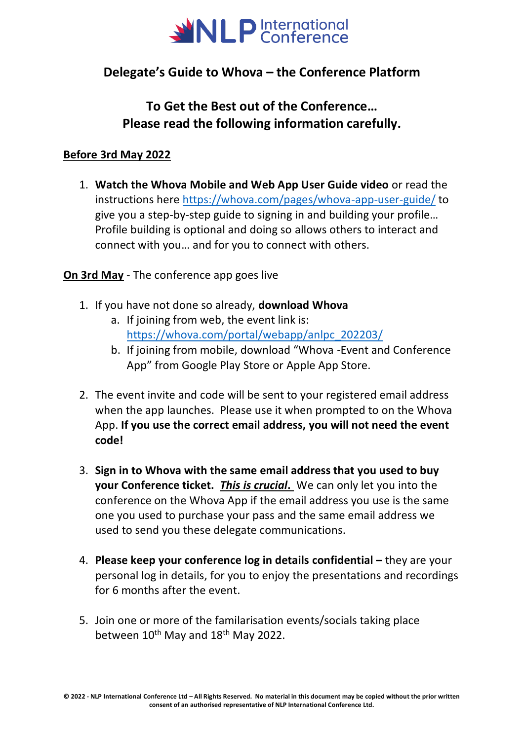

# **Delegate's Guide to Whova – the Conference Platform**

# **To Get the Best out of the Conference… Please read the following information carefully.**

## **Before 3rd May 2022**

1. **Watch the Whova Mobile and Web App User Guide video** or read the instructions here<https://whova.com/pages/whova-app-user-guide/> to give you a step-by-step guide to signing in and building your profile… Profile building is optional and doing so allows others to interact and connect with you… and for you to connect with others.

**On 3rd May** - The conference app goes live

- 1. If you have not done so already, **download Whova**
	- a. If joining from web, the event link is: [https://whova.com/portal/webapp/anlpc\\_202203/](https://whova.com/portal/webapp/anlpc_202203/)
	- b. If joining from mobile, download "Whova -Event and Conference App" from Google Play Store or Apple App Store.
- 2. The event invite and code will be sent to your registered email address when the app launches. Please use it when prompted to on the Whova App. **If you use the correct email address, you will not need the event code!**
- 3. **Sign in to Whova with the same email address that you used to buy your Conference ticket.** *This is crucial***.** We can only let you into the conference on the Whova App if the email address you use is the same one you used to purchase your pass and the same email address we used to send you these delegate communications.
- 4. **Please keep your conference log in details confidential –** they are your personal log in details, for you to enjoy the presentations and recordings for 6 months after the event.
- 5. Join one or more of the familarisation events/socials taking place between 10<sup>th</sup> May and 18<sup>th</sup> May 2022.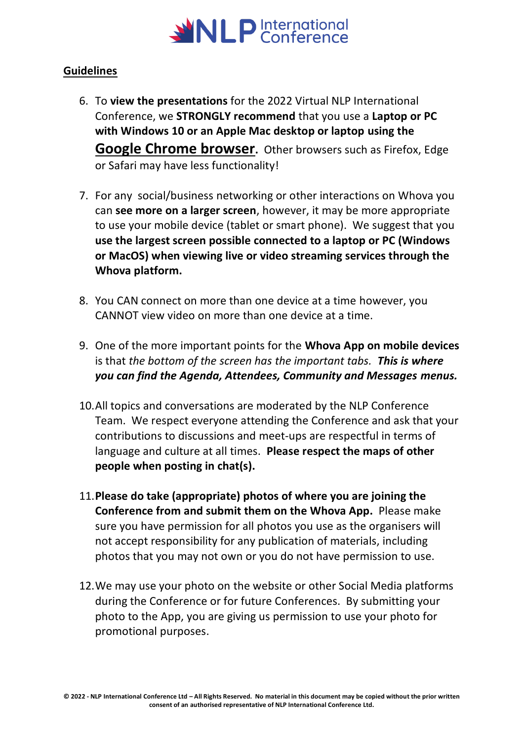

### **Guidelines**

- 6. To **view the presentations** for the 2022 Virtual NLP International Conference, we **STRONGLY recommend** that you use a **Laptop or PC with Windows 10 or an Apple Mac desktop or laptop using the Google Chrome browser.** Other browsers such as Firefox, Edge or Safari may have less functionality!
- 7. For any social/business networking or other interactions on Whova you can **see more on a larger screen**, however, it may be more appropriate to use your mobile device (tablet or smart phone). We suggest that you **use the largest screen possible connected to a laptop or PC (Windows or MacOS) when viewing live or video streaming services through the Whova platform.**
- 8. You CAN connect on more than one device at a time however, you CANNOT view video on more than one device at a time.
- 9. One of the more important points for the **Whova App on mobile devices** is that *the bottom of the screen has the important tabs. This is where you can find the Agenda, Attendees, Community and Messages menus.*
- 10.All topics and conversations are moderated by the NLP Conference Team. We respect everyone attending the Conference and ask that your contributions to discussions and meet-ups are respectful in terms of language and culture at all times. **Please respect the maps of other people when posting in chat(s).**
- 11.**Please do take (appropriate) photos of where you are joining the Conference from and submit them on the Whova App.** Please make sure you have permission for all photos you use as the organisers will not accept responsibility for any publication of materials, including photos that you may not own or you do not have permission to use.
- 12.We may use your photo on the website or other Social Media platforms during the Conference or for future Conferences. By submitting your photo to the App, you are giving us permission to use your photo for promotional purposes.